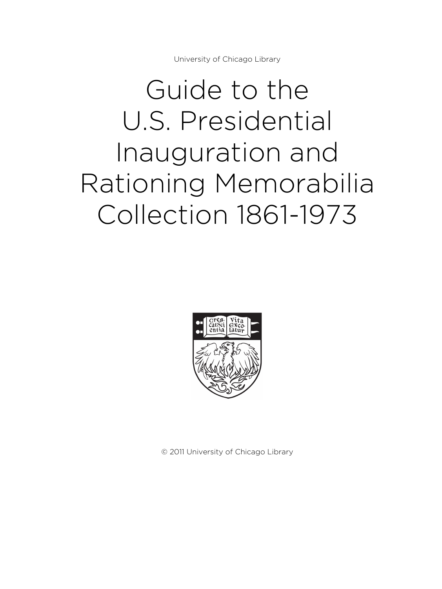University of Chicago Library

# Guide to the U.S. Presidential Inauguration and Rationing Memorabilia Collection 1861-1973



© 2011 University of Chicago Library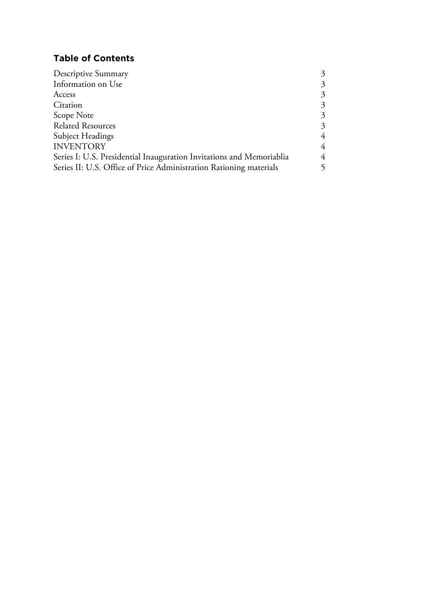## **Table of Contents**

| 3              |
|----------------|
| $\overline{3}$ |
| 3              |
| $\mathfrak{Z}$ |
| 3              |
| 3              |
| $\overline{4}$ |
| 4              |
| 4              |
| 5              |
|                |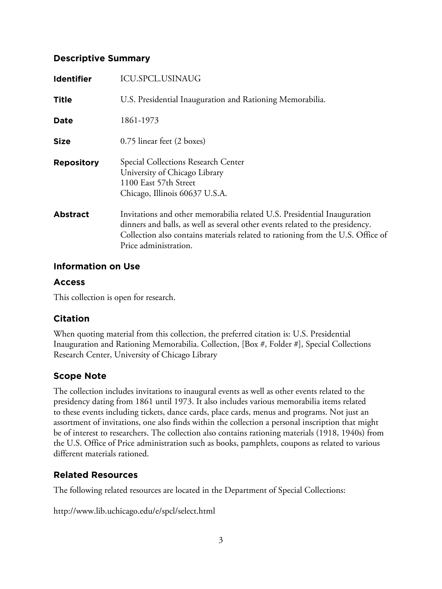#### **Descriptive Summary**

| <b>Identifier</b> | <b>ICU.SPCL.USINAUG</b>                                                                                                                                                                                                                                               |
|-------------------|-----------------------------------------------------------------------------------------------------------------------------------------------------------------------------------------------------------------------------------------------------------------------|
| <b>Title</b>      | U.S. Presidential Inauguration and Rationing Memorabilia.                                                                                                                                                                                                             |
| Date              | 1861-1973                                                                                                                                                                                                                                                             |
| <b>Size</b>       | 0.75 linear feet (2 boxes)                                                                                                                                                                                                                                            |
| <b>Repository</b> | Special Collections Research Center<br>University of Chicago Library<br>1100 East 57th Street<br>Chicago, Illinois 60637 U.S.A.                                                                                                                                       |
| <b>Abstract</b>   | Invitations and other memorabilia related U.S. Presidential Inauguration<br>dinners and balls, as well as several other events related to the presidency.<br>Collection also contains materials related to rationing from the U.S. Office of<br>Price administration. |

#### **Information on Use**

## **Access**

This collection is open for research.

## **Citation**

When quoting material from this collection, the preferred citation is: U.S. Presidential Inauguration and Rationing Memorabilia. Collection, [Box #, Folder #], Special Collections Research Center, University of Chicago Library

## **Scope Note**

The collection includes invitations to inaugural events as well as other events related to the presidency dating from 1861 until 1973. It also includes various memorabilia items related to these events including tickets, dance cards, place cards, menus and programs. Not just an assortment of invitations, one also finds within the collection a personal inscription that might be of interest to researchers. The collection also contains rationing materials (1918, 1940s) from the U.S. Office of Price administration such as books, pamphlets, coupons as related to various different materials rationed.

## **Related Resources**

The following related resources are located in the Department of Special Collections:

http://www.lib.uchicago.edu/e/spcl/select.html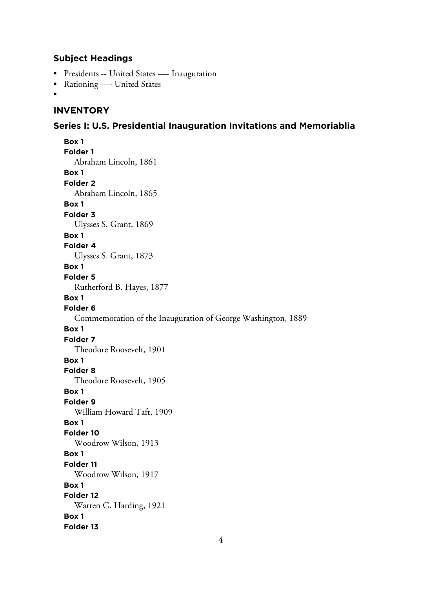#### **Subject Headings**

- Presidents -- United States —- Inauguration
- Rationing —- United States
- •

## **INVENTORY**

#### **Series I: U.S. Presidential Inauguration Invitations and Memoriablia**

**Box 1 Folder 1** Abraham Lincoln, 1861 **Box 1 Folder 2** Abraham Lincoln, 1865 **Box 1 Folder 3** Ulysses S. Grant, 1869 **Box 1 Folder 4** Ulysses S. Grant, 1873 **Box 1 Folder 5** Rutherford B. Hayes, 1877 **Box 1 Folder 6** Commemoration of the Inauguration of George Washington, 1889 **Box 1 Folder 7** Theodore Roosevelt, 1901 **Box 1 Folder 8** Theodore Roosevelt, 1905 **Box 1 Folder 9** William Howard Taft, 1909 **Box 1 Folder 10** Woodrow Wilson, 1913 **Box 1 Folder 11** Woodrow Wilson, 1917 **Box 1 Folder 12** Warren G. Harding, 1921 **Box 1 Folder 13**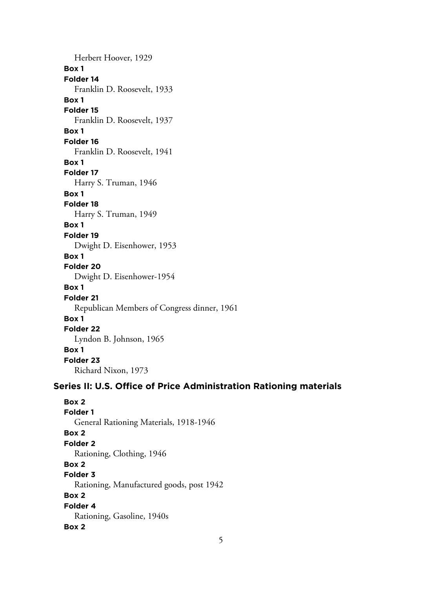Herbert Hoover, 1929 **Box 1 Folder 14** Franklin D. Roosevelt, 1933 **Box 1 Folder 15** Franklin D. Roosevelt, 1937 **Box 1 Folder 16** Franklin D. Roosevelt, 1941 **Box 1 Folder 17** Harry S. Truman, 1946 **Box 1 Folder 18** Harry S. Truman, 1949 **Box 1 Folder 19** Dwight D. Eisenhower, 1953 **Box 1 Folder 20** Dwight D. Eisenhower-1954 **Box 1 Folder 21** Republican Members of Congress dinner, 1961 **Box 1 Folder 22** Lyndon B. Johnson, 1965 **Box 1 Folder 23** Richard Nixon, 1973

#### **Series II: U.S. Office of Price Administration Rationing materials**

**Box 2 Folder 1** General Rationing Materials, 1918-1946 **Box 2 Folder 2** Rationing, Clothing, 1946 **Box 2 Folder 3** Rationing, Manufactured goods, post 1942 **Box 2 Folder 4** Rationing, Gasoline, 1940s **Box 2**